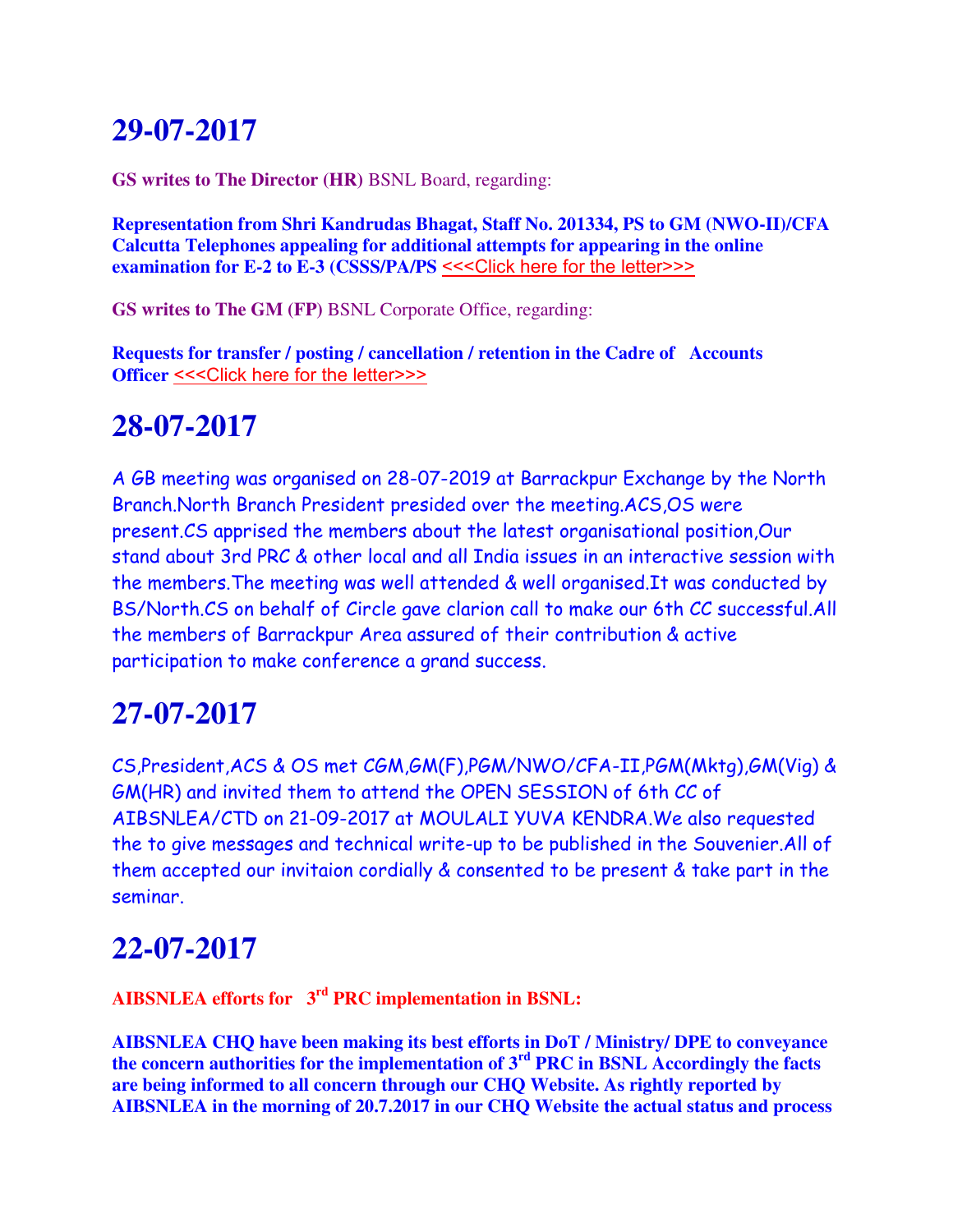# **29-07-2017**

**GS writes to The Director (HR)** BSNL Board, regarding:

**Representation from Shri Kandrudas Bhagat, Staff No. 201334, PS to GM (NWO-II)/CFA Calcutta Telephones appealing for additional attempts for appearing in the online examination for E-2 to E-3 (CSSS/PA/PS** [<<<Click here for the letter>>>](http://www.aibsnleachq.in/DIRHR_170727.pdf)

**GS writes to The GM (FP)** BSNL Corporate Office, regarding:

**Requests for transfer / posting / cancellation / retention in the Cadre of Accounts Officer [<<<Click here for the letter>>>](http://www.aibsnleachq.in/GMFP_170726.pdf)** 

# **28-07-2017**

A GB meeting was organised on 28-07-2019 at Barrackpur Exchange by the North Branch.North Branch President presided over the meeting.ACS,OS were present.CS apprised the members about the latest organisational position,Our stand about 3rd PRC & other local and all India issues in an interactive session with the members.The meeting was well attended & well organised.It was conducted by BS/North.CS on behalf of Circle gave clarion call to make our 6th CC successful.All the members of Barrackpur Area assured of their contribution & active participation to make conference a grand success.

# **27-07-2017**

CS,President,ACS & OS met CGM,GM(F),PGM/NWO/CFA-II,PGM(Mktg),GM(Vig) & GM(HR) and invited them to attend the OPEN SESSION of 6th CC of AIBSNLEA/CTD on 21-09-2017 at MOULALI YUVA KENDRA.We also requested the to give messages and technical write-up to be published in the Souvenier.All of them accepted our invitaion cordially & consented to be present & take part in the seminar.

# **22-07-2017**

**AIBSNLEA efforts for 3rd PRC implementation in BSNL:**

**AIBSNLEA CHQ have been making its best efforts in DoT / Ministry/ DPE to conveyance the concern authorities for the implementation of 3rd PRC in BSNL Accordingly the facts are being informed to all concern through our CHQ Website. As rightly reported by AIBSNLEA in the morning of 20.7.2017 in our CHQ Website the actual status and process**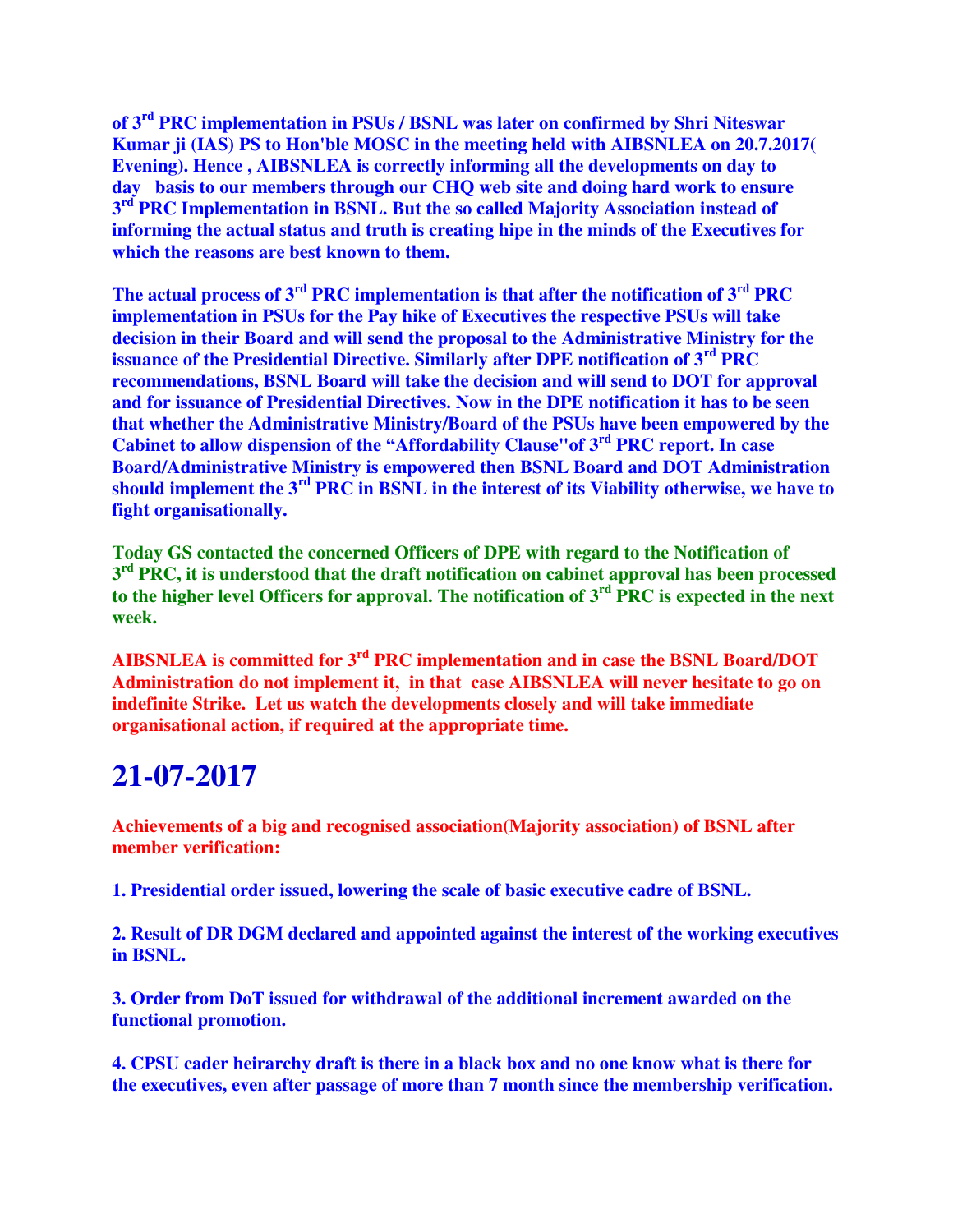**of 3rd PRC implementation in PSUs / BSNL was later on confirmed by Shri Niteswar Kumar ji (IAS) PS to Hon'ble MOSC in the meeting held with AIBSNLEA on 20.7.2017( Evening). Hence , AIBSNLEA is correctly informing all the developments on day to day basis to our members through our CHQ web site and doing hard work to ensure 3 rd PRC Implementation in BSNL. But the so called Majority Association instead of informing the actual status and truth is creating hipe in the minds of the Executives for which the reasons are best known to them.**

**The actual process of 3rd PRC implementation is that after the notification of 3rd PRC implementation in PSUs for the Pay hike of Executives the respective PSUs will take decision in their Board and will send the proposal to the Administrative Ministry for the issuance of the Presidential Directive. Similarly after DPE notification of 3rd PRC recommendations, BSNL Board will take the decision and will send to DOT for approval and for issuance of Presidential Directives. Now in the DPE notification it has to be seen that whether the Administrative Ministry/Board of the PSUs have been empowered by the Cabinet to allow dispension of the "Affordability Clause"of 3rd PRC report. In case Board/Administrative Ministry is empowered then BSNL Board and DOT Administration should implement the 3rd PRC in BSNL in the interest of its Viability otherwise, we have to fight organisationally.**

**Today GS contacted the concerned Officers of DPE with regard to the Notification of 3 rd PRC, it is understood that the draft notification on cabinet approval has been processed to the higher level Officers for approval. The notification of 3rd PRC is expected in the next week.**

**AIBSNLEA is committed for 3rd PRC implementation and in case the BSNL Board/DOT Administration do not implement it, in that case AIBSNLEA will never hesitate to go on indefinite Strike. Let us watch the developments closely and will take immediate organisational action, if required at the appropriate time.**

# **21-07-2017**

**Achievements of a big and recognised association(Majority association) of BSNL after member verification:**

**1. Presidential order issued, lowering the scale of basic executive cadre of BSNL.**

**2. Result of DR DGM declared and appointed against the interest of the working executives in BSNL.**

**3. Order from DoT issued for withdrawal of the additional increment awarded on the functional promotion.**

**4. CPSU cader heirarchy draft is there in a black box and no one know what is there for the executives, even after passage of more than 7 month since the membership verification.**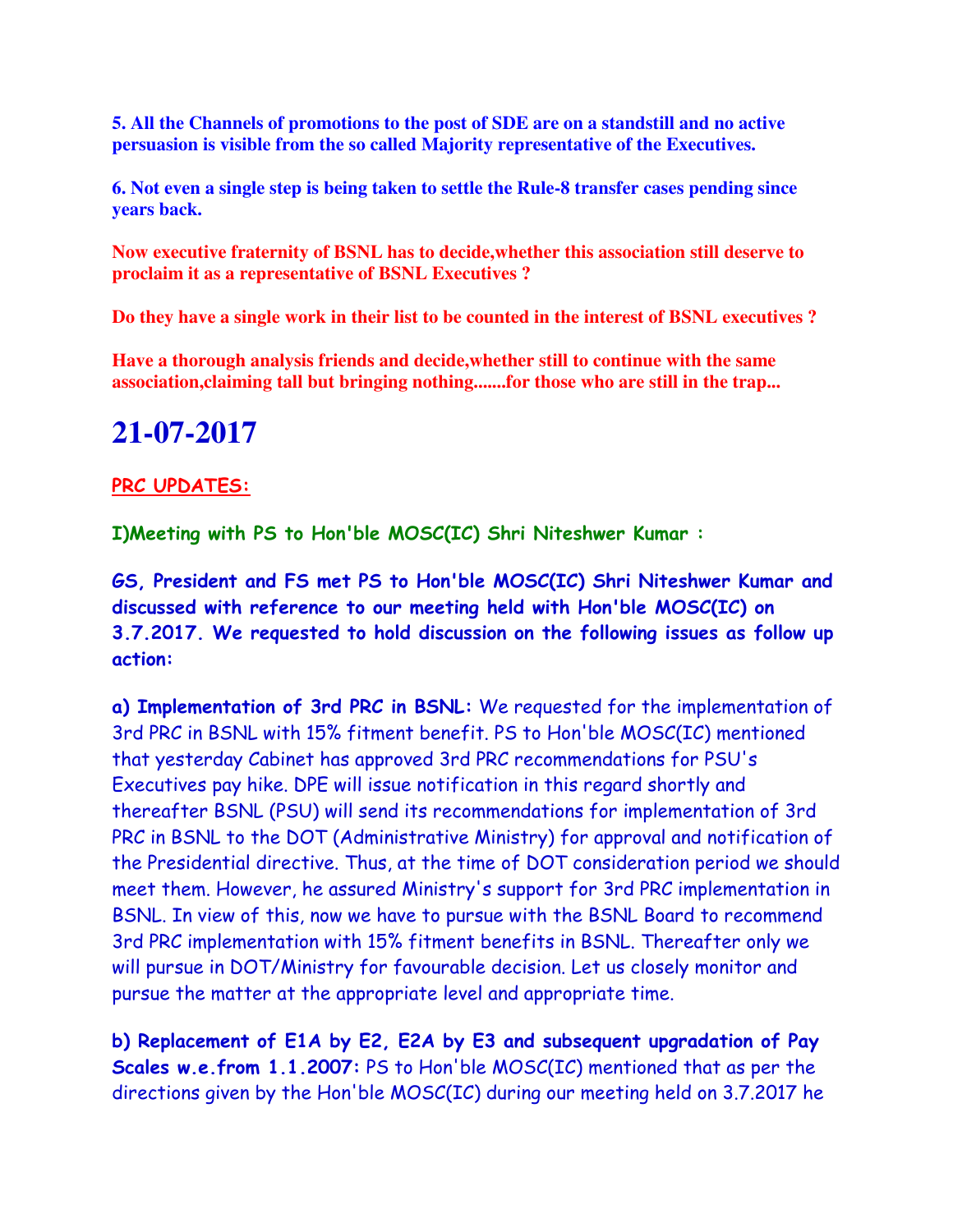**5. All the Channels of promotions to the post of SDE are on a standstill and no active persuasion is visible from the so called Majority representative of the Executives.**

**6. Not even a single step is being taken to settle the Rule-8 transfer cases pending since years back.**

**Now executive fraternity of BSNL has to decide,whether this association still deserve to proclaim it as a representative of BSNL Executives ?** 

**Do they have a single work in their list to be counted in the interest of BSNL executives ?**

**Have a thorough analysis friends and decide,whether still to continue with the same association,claiming tall but bringing nothing.......for those who are still in the trap...**

## **21-07-2017**

### **PRC UPDATES:**

**I)Meeting with PS to Hon'ble MOSC(IC) Shri Niteshwer Kumar :**

**GS, President and FS met PS to Hon'ble MOSC(IC) Shri Niteshwer Kumar and discussed with reference to our meeting held with Hon'ble MOSC(IC) on 3.7.2017. We requested to hold discussion on the following issues as follow up action:**

**a) Implementation of 3rd PRC in BSNL:** We requested for the implementation of 3rd PRC in BSNL with 15% fitment benefit. PS to Hon'ble MOSC(IC) mentioned that yesterday Cabinet has approved 3rd PRC recommendations for PSU's Executives pay hike. DPE will issue notification in this regard shortly and thereafter BSNL (PSU) will send its recommendations for implementation of 3rd PRC in BSNL to the DOT (Administrative Ministry) for approval and notification of the Presidential directive. Thus, at the time of DOT consideration period we should meet them. However, he assured Ministry's support for 3rd PRC implementation in BSNL. In view of this, now we have to pursue with the BSNL Board to recommend 3rd PRC implementation with 15% fitment benefits in BSNL. Thereafter only we will pursue in DOT/Ministry for favourable decision. Let us closely monitor and pursue the matter at the appropriate level and appropriate time.

**b) Replacement of E1A by E2, E2A by E3 and subsequent upgradation of Pay Scales w.e.from 1.1.2007:** PS to Hon'ble MOSC(IC) mentioned that as per the directions given by the Hon'ble MOSC(IC) during our meeting held on 3.7.2017 he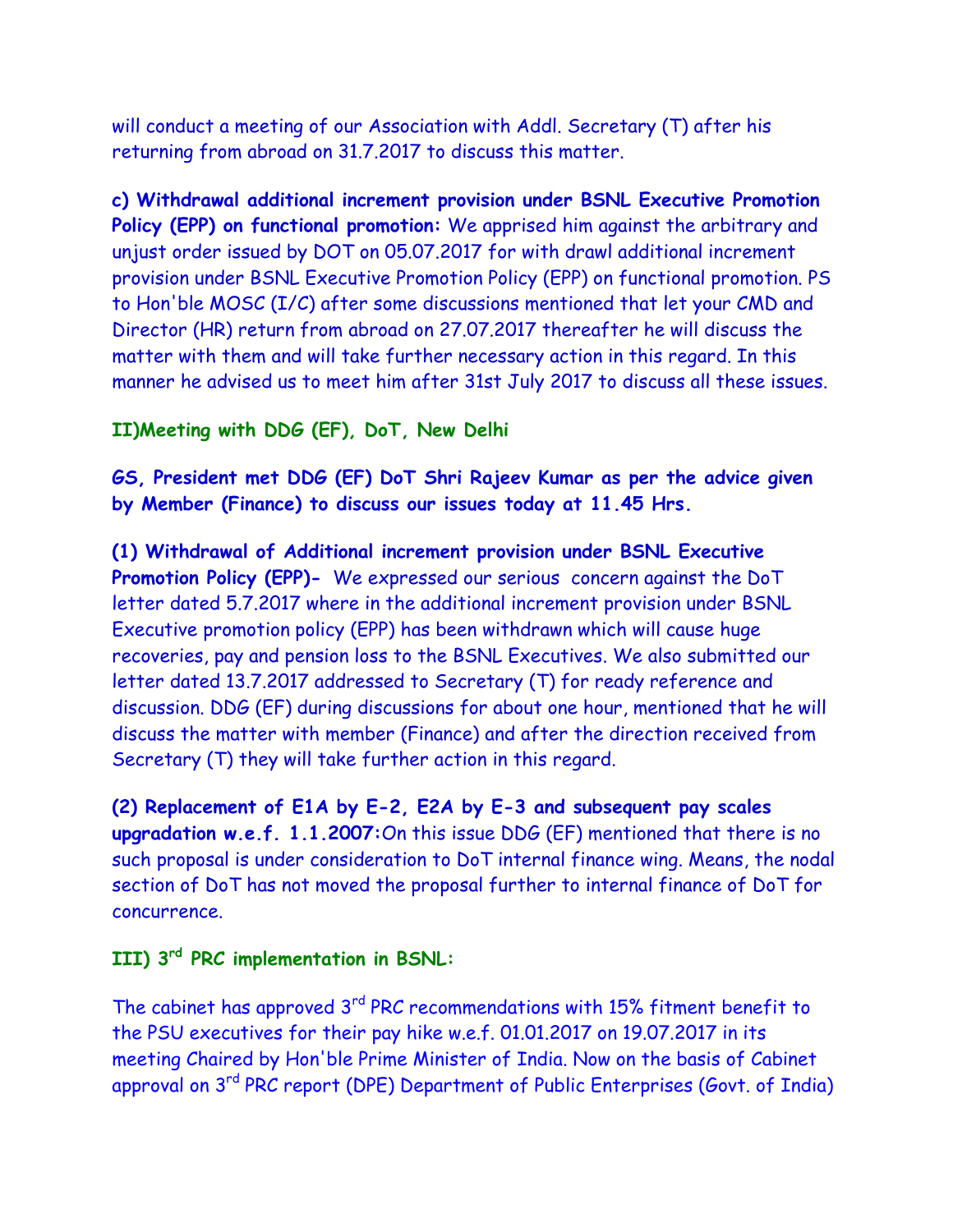will conduct a meeting of our Association with Addl. Secretary (T) after his returning from abroad on 31.7.2017 to discuss this matter.

**c) Withdrawal additional increment provision under BSNL Executive Promotion Policy (EPP) on functional promotion:** We apprised him against the arbitrary and unjust order issued by DOT on 05.07.2017 for with drawl additional increment provision under BSNL Executive Promotion Policy (EPP) on functional promotion. PS to Hon'ble MOSC (I/C) after some discussions mentioned that let your CMD and Director (HR) return from abroad on 27.07.2017 thereafter he will discuss the matter with them and will take further necessary action in this regard. In this manner he advised us to meet him after 31st July 2017 to discuss all these issues.

### **II)Meeting with DDG (EF), DoT, New Delhi**

**GS, President met DDG (EF) DoT Shri Rajeev Kumar as per the advice given by Member (Finance) to discuss our issues today at 11.45 Hrs.**

**(1) Withdrawal of Additional increment provision under BSNL Executive Promotion Policy (EPP)-** We expressed our serious concern against the DoT letter dated 5.7.2017 where in the additional increment provision under BSNL Executive promotion policy (EPP) has been withdrawn which will cause huge recoveries, pay and pension loss to the BSNL Executives. We also submitted our letter dated 13.7.2017 addressed to Secretary (T) for ready reference and discussion. DDG (EF) during discussions for about one hour, mentioned that he will discuss the matter with member (Finance) and after the direction received from Secretary (T) they will take further action in this regard.

**(2) Replacement of E1A by E-2, E2A by E-3 and subsequent pay scales upgradation w.e.f. 1.1.2007:**On this issue DDG (EF) mentioned that there is no such proposal is under consideration to DoT internal finance wing. Means, the nodal section of DoT has not moved the proposal further to internal finance of DoT for concurrence.

### **III) 3rd PRC implementation in BSNL:**

The cabinet has approved 3<sup>rd</sup> PRC recommendations with 15% fitment benefit to the PSU executives for their pay hike w.e.f. 01.01.2017 on 19.07.2017 in its meeting Chaired by Hon'ble Prime Minister of India. Now on the basis of Cabinet approval on 3rd PRC report (DPE) Department of Public Enterprises (Govt. of India)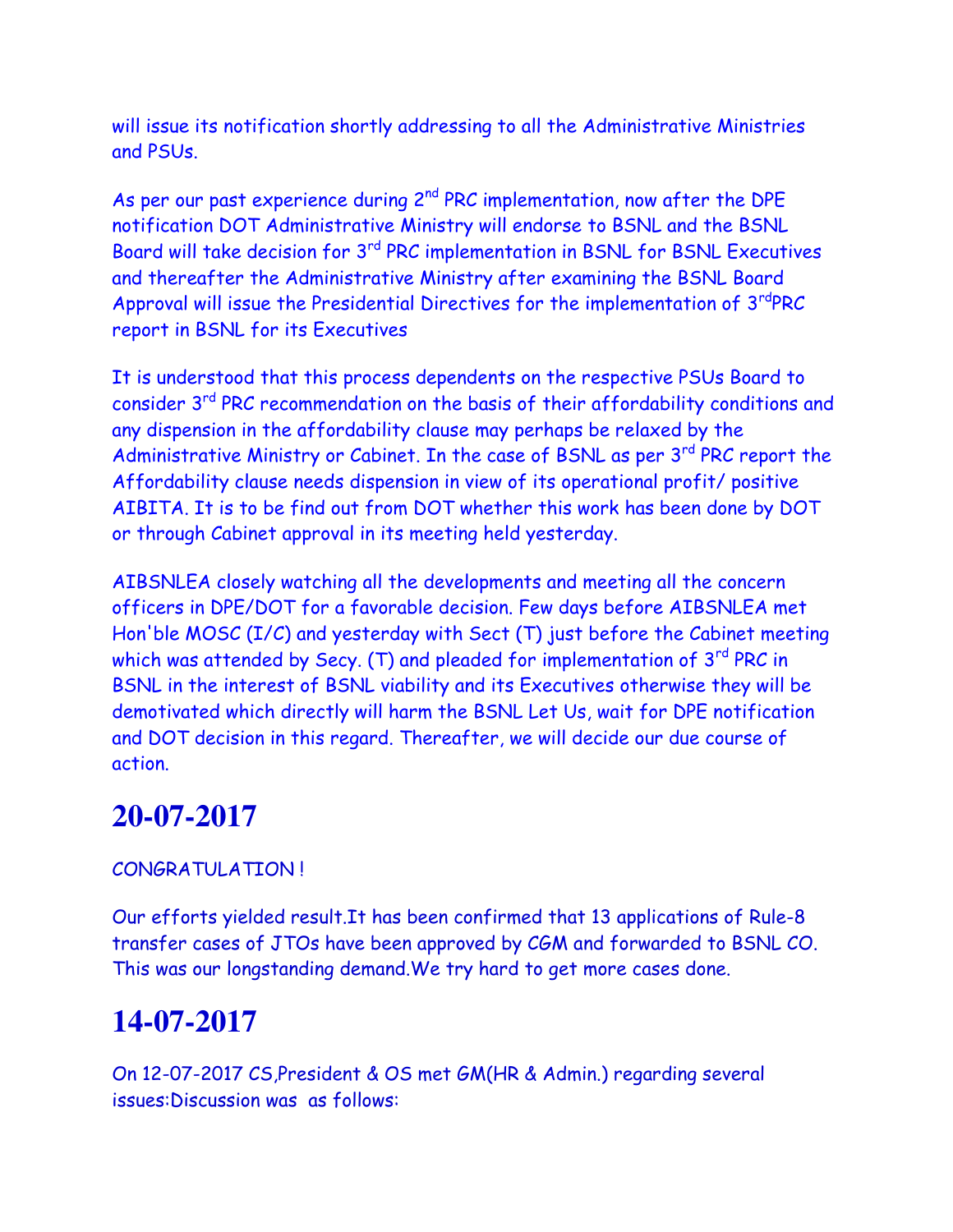will issue its notification shortly addressing to all the Administrative Ministries and PSUs.

As per our past experience during  $2^{nd}$  PRC implementation, now after the DPE notification DOT Administrative Ministry will endorse to BSNL and the BSNL Board will take decision for 3rd PRC implementation in BSNL for BSNL Executives and thereafter the Administrative Ministry after examining the BSNL Board Approval will issue the Presidential Directives for the implementation of 3<sup>rd</sup>PRC report in BSNL for its Executives

It is understood that this process dependents on the respective PSUs Board to consider 3rd PRC recommendation on the basis of their affordability conditions and any dispension in the affordability clause may perhaps be relaxed by the Administrative Ministry or Cabinet. In the case of BSNL as per 3<sup>rd</sup> PRC report the Affordability clause needs dispension in view of its operational profit/ positive AIBITA. It is to be find out from DOT whether this work has been done by DOT or through Cabinet approval in its meeting held yesterday.

AIBSNLEA closely watching all the developments and meeting all the concern officers in DPE/DOT for a favorable decision. Few days before AIBSNLEA met Hon'ble MOSC (I/C) and yesterday with Sect (T) just before the Cabinet meeting which was attended by Secy. (T) and pleaded for implementation of  $3<sup>rd</sup>$  PRC in BSNL in the interest of BSNL viability and its Executives otherwise they will be demotivated which directly will harm the BSNL Let Us, wait for DPE notification and DOT decision in this regard. Thereafter, we will decide our due course of action.

## **20-07-2017**

### CONGRATULATION !

Our efforts yielded result.It has been confirmed that 13 applications of Rule-8 transfer cases of JTOs have been approved by CGM and forwarded to BSNL CO. This was our longstanding demand.We try hard to get more cases done.

# **14-07-2017**

On 12-07-2017 CS,President & OS met GM(HR & Admin.) regarding several issues:Discussion was as follows: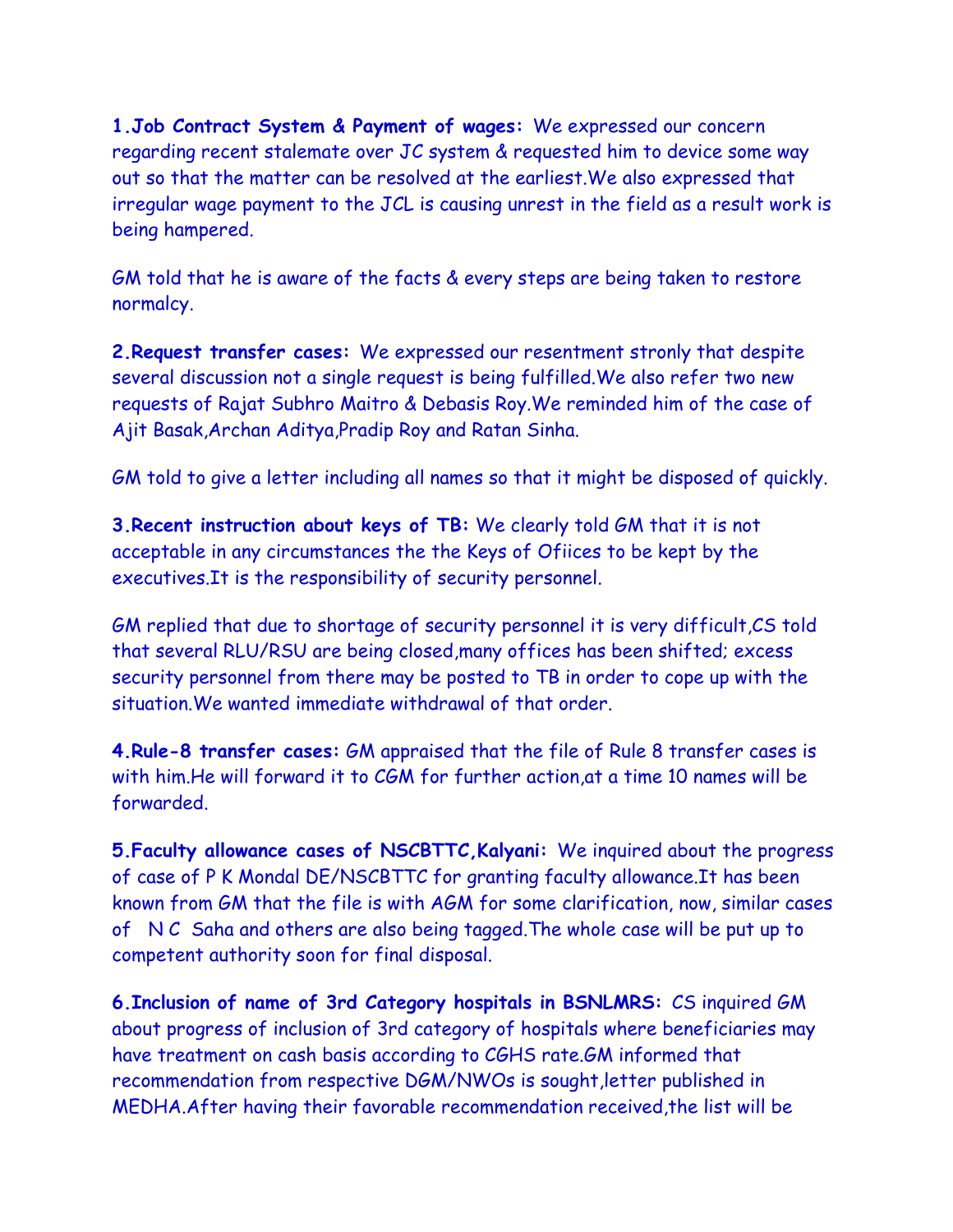**1.Job Contract System & Payment of wages:** We expressed our concern regarding recent stalemate over JC system & requested him to device some way out so that the matter can be resolved at the earliest.We also expressed that irregular wage payment to the JCL is causing unrest in the field as a result work is being hampered.

GM told that he is aware of the facts & every steps are being taken to restore normalcy.

**2.Request transfer cases:** We expressed our resentment stronly that despite several discussion not a single request is being fulfilled.We also refer two new requests of Rajat Subhro Maitro & Debasis Roy.We reminded him of the case of Ajit Basak,Archan Aditya,Pradip Roy and Ratan Sinha.

GM told to give a letter including all names so that it might be disposed of quickly.

**3.Recent instruction about keys of TB:** We clearly told GM that it is not acceptable in any circumstances the the Keys of Ofiices to be kept by the executives.It is the responsibility of security personnel.

GM replied that due to shortage of security personnel it is very difficult,CS told that several RLU/RSU are being closed,many offices has been shifted; excess security personnel from there may be posted to TB in order to cope up with the situation.We wanted immediate withdrawal of that order.

**4.Rule-8 transfer cases:** GM appraised that the file of Rule 8 transfer cases is with him.He will forward it to CGM for further action,at a time 10 names will be forwarded.

**5.Faculty allowance cases of NSCBTTC,Kalyani:** We inquired about the progress of case of P K Mondal DE/NSCBTTC for granting faculty allowance.It has been known from GM that the file is with AGM for some clarification, now, similar cases of N C Saha and others are also being tagged.The whole case will be put up to competent authority soon for final disposal.

**6.Inclusion of name of 3rd Category hospitals in BSNLMRS:** CS inquired GM about progress of inclusion of 3rd category of hospitals where beneficiaries may have treatment on cash basis according to CGHS rate.GM informed that recommendation from respective DGM/NWOs is sought,letter published in MEDHA.After having their favorable recommendation received,the list will be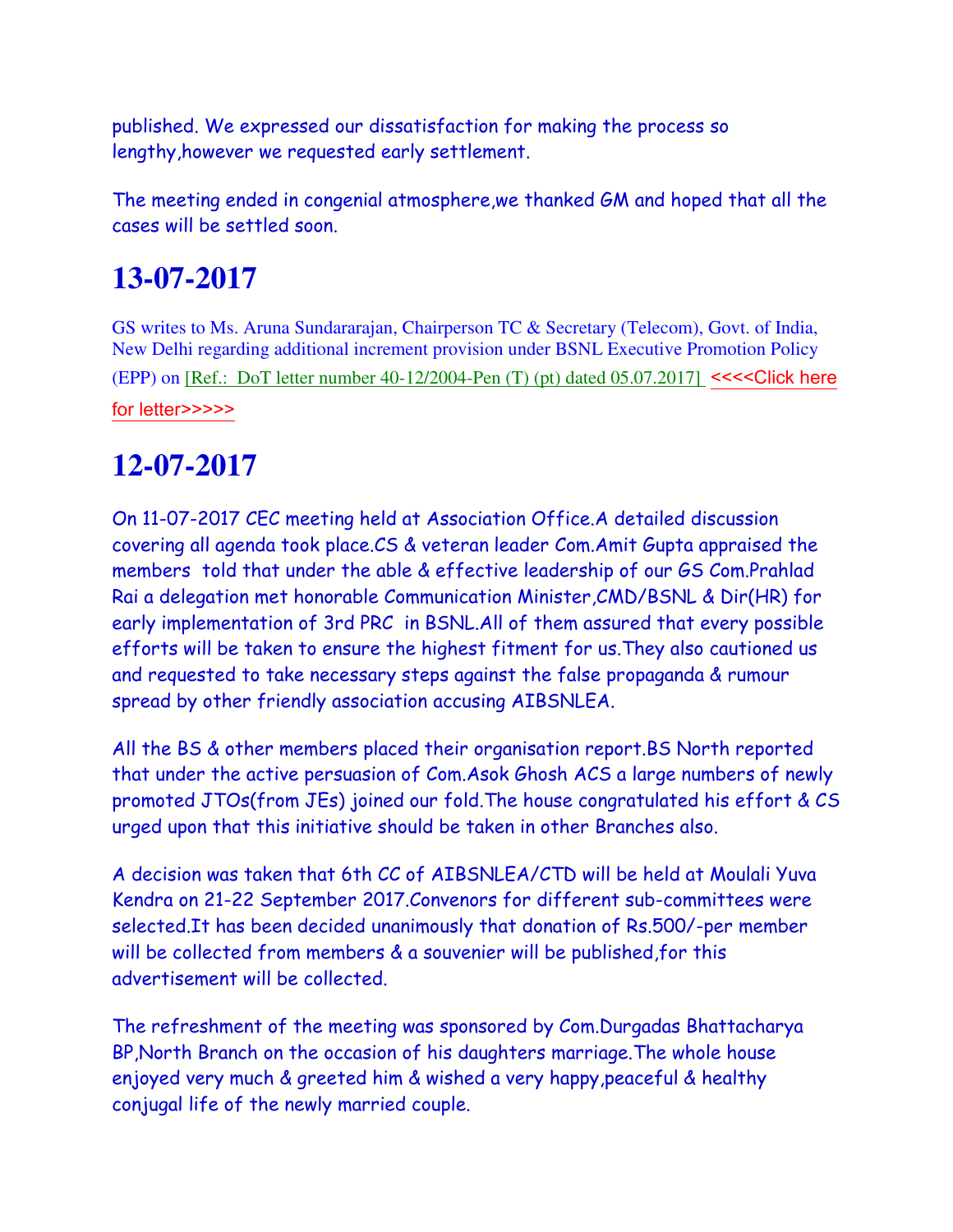published. We expressed our dissatisfaction for making the process so lengthy,however we requested early settlement.

The meeting ended in congenial atmosphere,we thanked GM and hoped that all the cases will be settled soon.

# **13-07-2017**

GS writes to Ms. Aruna Sundararajan, Chairperson TC & Secretary (Telecom), Govt. of India, New Delhi regarding additional increment provision under BSNL Executive Promotion Policy (EPP) on [Ref.: DoT letter number 40-12/2004-Pen  $(T)$  (pt) dated 05.07.2017] <<<<Click here [for letter>>>>>](http://www.aibsnleachq.in/letter_13072017.pdf)

# **12-07-2017**

On 11-07-2017 CEC meeting held at Association Office.A detailed discussion covering all agenda took place.CS & veteran leader Com.Amit Gupta appraised the members told that under the able & effective leadership of our GS Com.Prahlad Rai a delegation met honorable Communication Minister,CMD/BSNL & Dir(HR) for early implementation of 3rd PRC in BSNL.All of them assured that every possible efforts will be taken to ensure the highest fitment for us.They also cautioned us and requested to take necessary steps against the false propaganda & rumour spread by other friendly association accusing AIBSNLEA.

All the BS & other members placed their organisation report.BS North reported that under the active persuasion of Com.Asok Ghosh ACS a large numbers of newly promoted JTOs(from JEs) joined our fold.The house congratulated his effort & CS urged upon that this initiative should be taken in other Branches also.

A decision was taken that 6th CC of AIBSNLEA/CTD will be held at Moulali Yuva Kendra on 21-22 September 2017.Convenors for different sub-committees were selected.It has been decided unanimously that donation of Rs.500/-per member will be collected from members & a souvenier will be published,for this advertisement will be collected.

The refreshment of the meeting was sponsored by Com.Durgadas Bhattacharya BP,North Branch on the occasion of his daughters marriage.The whole house enjoyed very much & greeted him & wished a very happy,peaceful & healthy conjugal life of the newly married couple.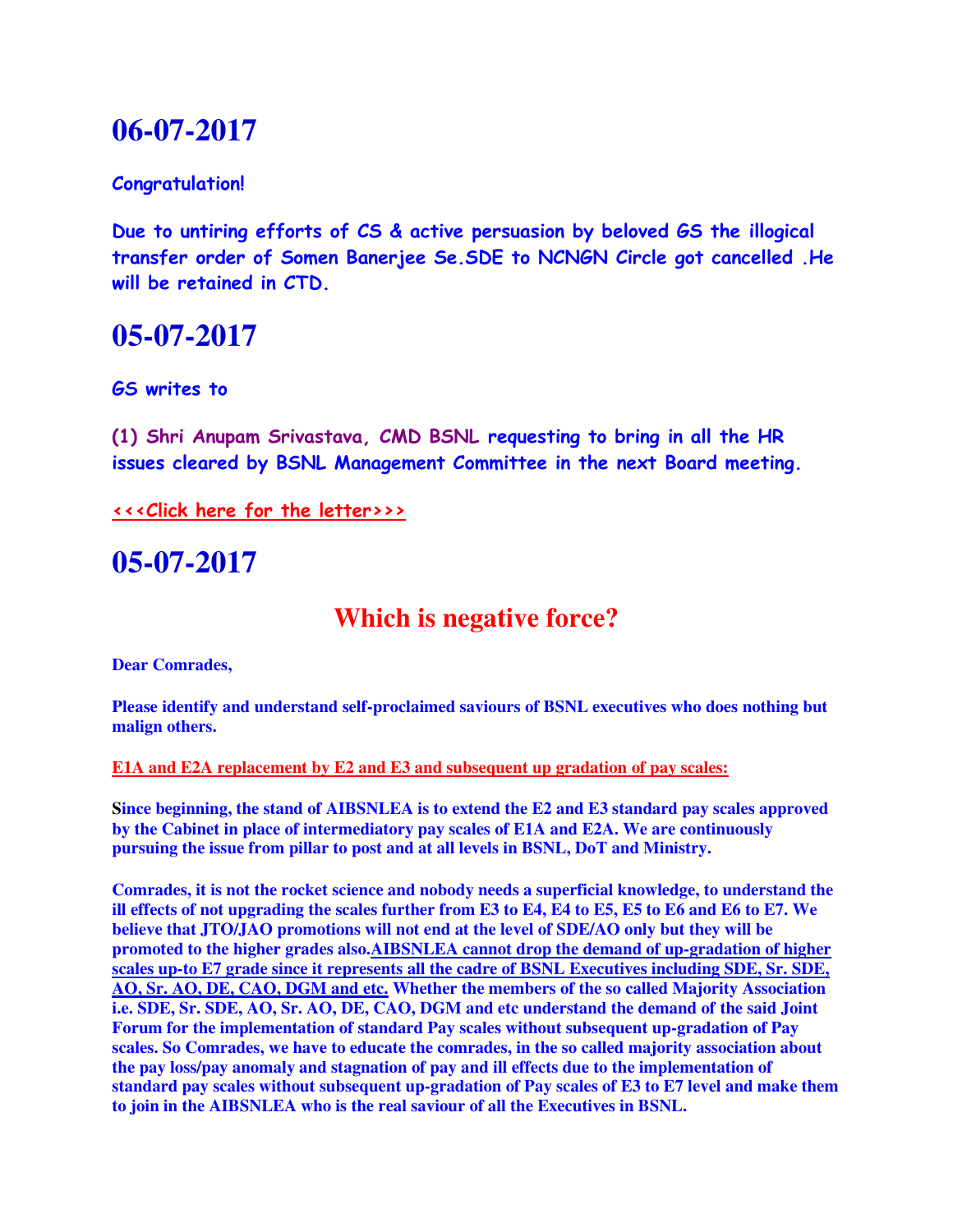## **06-07-2017**

### **Congratulation!**

**Due to untiring efforts of CS & active persuasion by beloved GS the illogical transfer order of Somen Banerjee Se.SDE to NCNGN Circle got cancelled .He will be retained in CTD.**

### **05-07-2017**

**GS writes to**

**(1) Shri Anupam Srivastava, CMD BSNL requesting to bring in all the HR issues cleared by BSNL Management Committee in the next Board meeting.** 

**[<<<Click here for the letter>>>](http://www.aibsnleachq.in/CMD_170704.pdf)**

**05-07-2017**

## **Which is negative force?**

**Dear Comrades,**

**Please identify and understand self-proclaimed saviours of BSNL executives who does nothing but malign others.**

**E1A and E2A replacement by E2 and E3 and subsequent up gradation of pay scales:**

**Since beginning, the stand of AIBSNLEA is to extend the E2 and E3 standard pay scales approved by the Cabinet in place of intermediatory pay scales of E1A and E2A. We are continuously pursuing the issue from pillar to post and at all levels in BSNL, DoT and Ministry.**

**Comrades, it is not the rocket science and nobody needs a superficial knowledge, to understand the ill effects of not upgrading the scales further from E3 to E4, E4 to E5, E5 to E6 and E6 to E7. We believe that JTO/JAO promotions will not end at the level of SDE/AO only but they will be promoted to the higher grades also.AIBSNLEA cannot drop the demand of up-gradation of higher scales up-to E7 grade since it represents all the cadre of BSNL Executives including SDE, Sr. SDE, AO, Sr. AO, DE, CAO, DGM and etc. Whether the members of the so called Majority Association i.e. SDE, Sr. SDE, AO, Sr. AO, DE, CAO, DGM and etc understand the demand of the said Joint Forum for the implementation of standard Pay scales without subsequent up-gradation of Pay scales. So Comrades, we have to educate the comrades, in the so called majority association about the pay loss/pay anomaly and stagnation of pay and ill effects due to the implementation of standard pay scales without subsequent up-gradation of Pay scales of E3 to E7 level and make them to join in the AIBSNLEA who is the real saviour of all the Executives in BSNL.**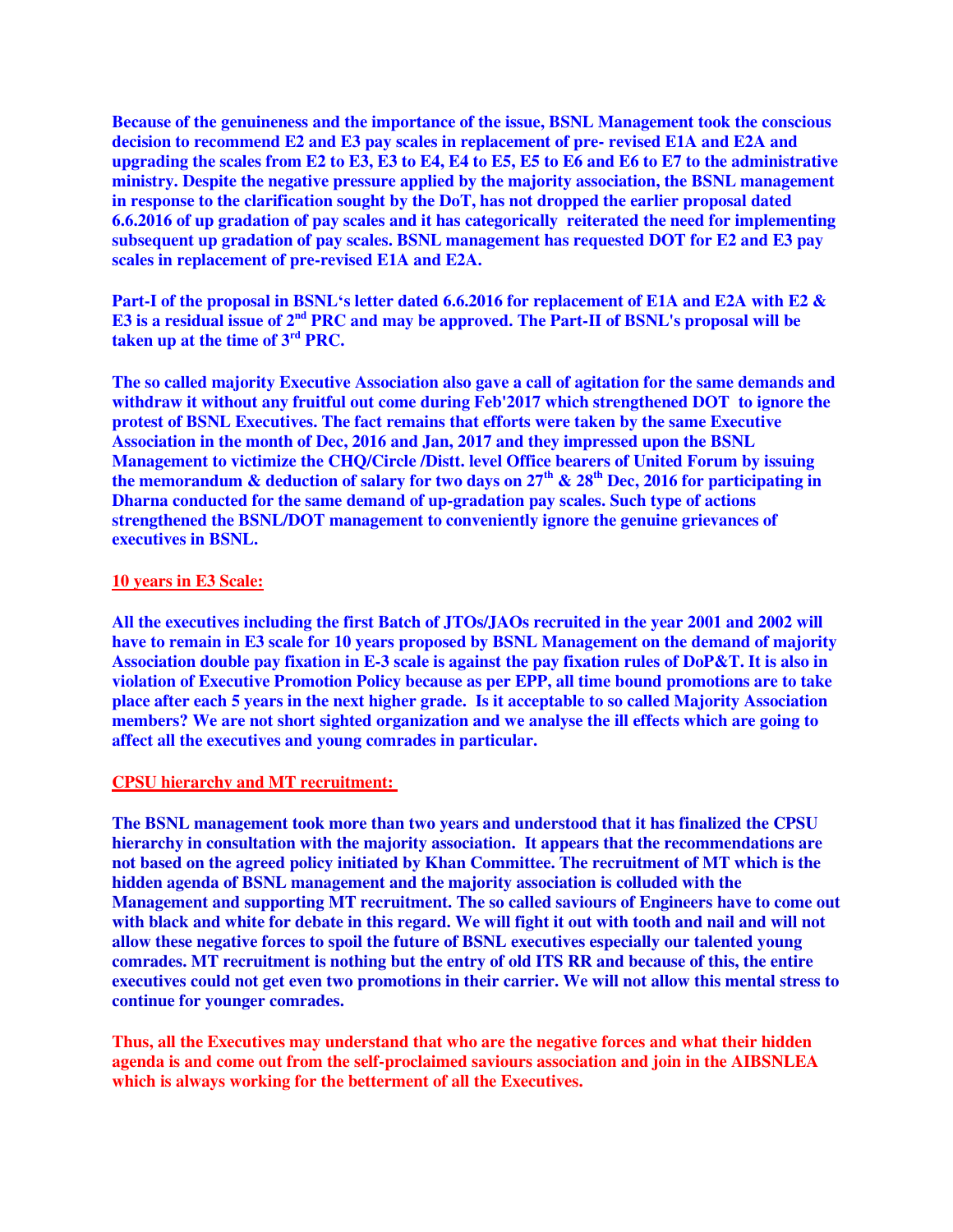**Because of the genuineness and the importance of the issue, BSNL Management took the conscious decision to recommend E2 and E3 pay scales in replacement of pre- revised E1A and E2A and upgrading the scales from E2 to E3, E3 to E4, E4 to E5, E5 to E6 and E6 to E7 to the administrative ministry. Despite the negative pressure applied by the majority association, the BSNL management in response to the clarification sought by the DoT, has not dropped the earlier proposal dated 6.6.2016 of up gradation of pay scales and it has categorically reiterated the need for implementing subsequent up gradation of pay scales. BSNL management has requested DOT for E2 and E3 pay scales in replacement of pre-revised E1A and E2A.**

**Part-I of the proposal in BSNL's letter dated 6.6.2016 for replacement of E1A and E2A with E2 & E3 is a residual issue of 2nd PRC and may be approved. The Part-II of BSNL's proposal will be taken up at the time of 3rd PRC.**

**The so called majority Executive Association also gave a call of agitation for the same demands and withdraw it without any fruitful out come during Feb'2017 which strengthened DOT to ignore the protest of BSNL Executives. The fact remains that efforts were taken by the same Executive Association in the month of Dec, 2016 and Jan, 2017 and they impressed upon the BSNL Management to victimize the CHQ/Circle /Distt. level Office bearers of United Forum by issuing the memorandum & deduction of salary for two days on 27th & 28th Dec, 2016 for participating in Dharna conducted for the same demand of up-gradation pay scales. Such type of actions strengthened the BSNL/DOT management to conveniently ignore the genuine grievances of executives in BSNL.**

#### **10 years in E3 Scale:**

**All the executives including the first Batch of JTOs/JAOs recruited in the year 2001 and 2002 will have to remain in E3 scale for 10 years proposed by BSNL Management on the demand of majority Association double pay fixation in E-3 scale is against the pay fixation rules of DoP&T. It is also in violation of Executive Promotion Policy because as per EPP, all time bound promotions are to take place after each 5 years in the next higher grade. Is it acceptable to so called Majority Association members? We are not short sighted organization and we analyse the ill effects which are going to affect all the executives and young comrades in particular.**

#### **CPSU hierarchy and MT recruitment:**

**The BSNL management took more than two years and understood that it has finalized the CPSU hierarchy in consultation with the majority association. It appears that the recommendations are not based on the agreed policy initiated by Khan Committee. The recruitment of MT which is the hidden agenda of BSNL management and the majority association is colluded with the Management and supporting MT recruitment. The so called saviours of Engineers have to come out with black and white for debate in this regard. We will fight it out with tooth and nail and will not allow these negative forces to spoil the future of BSNL executives especially our talented young comrades. MT recruitment is nothing but the entry of old ITS RR and because of this, the entire executives could not get even two promotions in their carrier. We will not allow this mental stress to continue for younger comrades.**

**Thus, all the Executives may understand that who are the negative forces and what their hidden agenda is and come out from the self-proclaimed saviours association and join in the AIBSNLEA which is always working for the betterment of all the Executives.**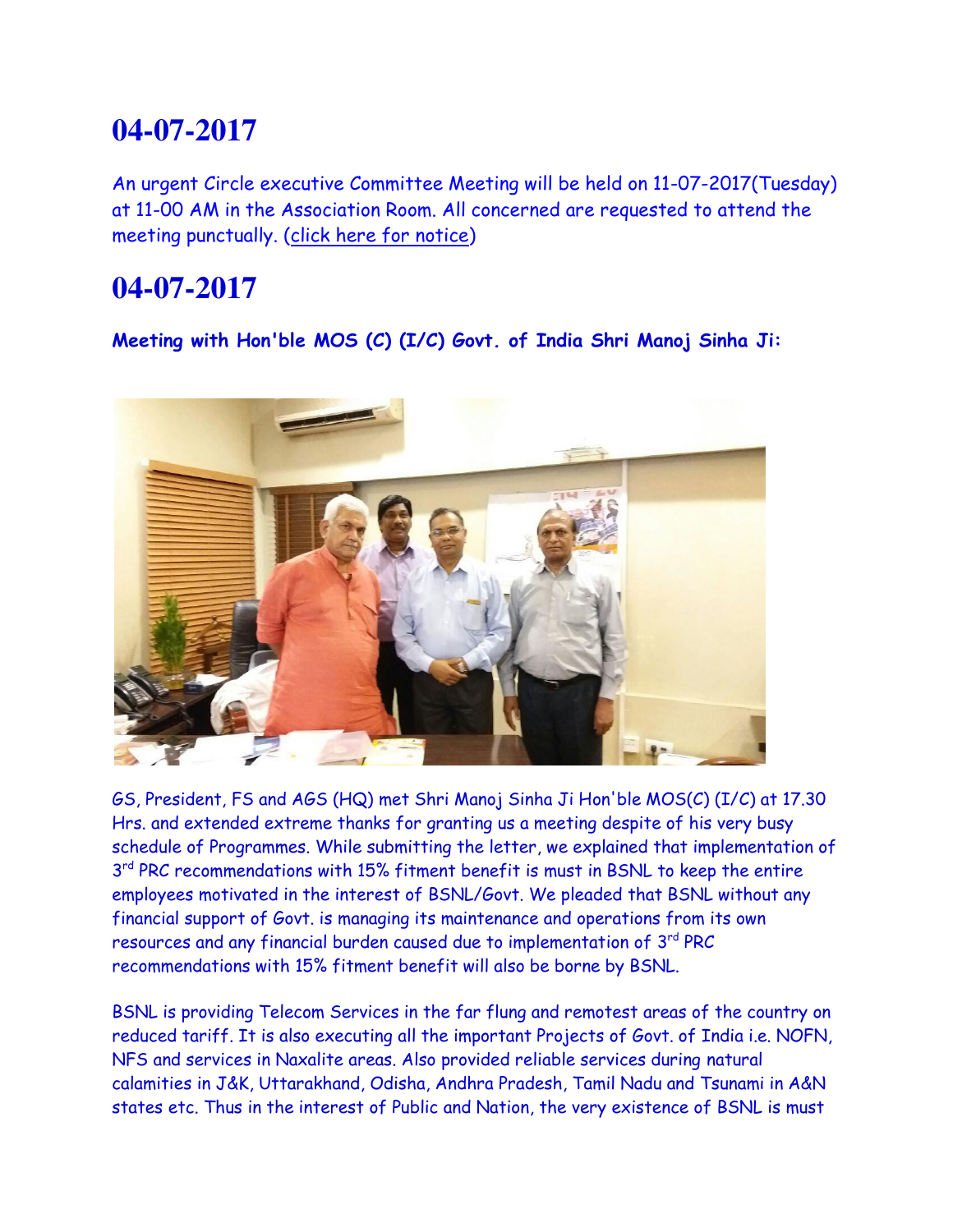# **04-07-2017**

An urgent Circle executive Committee Meeting will be held on 11-07-2017(Tuesday) at 11-00 AM in the Association Room. All concerned are requested to attend the meeting punctually. [\(click here for notice\)](http://www.aibsnleawb.org/notice01072017.pdf)

# **04-07-2017**

**Meeting with Hon'ble MOS (C) (I/C) Govt. of India Shri Manoj Sinha Ji:**



GS, President, FS and AGS (HQ) met Shri Manoj Sinha Ji Hon'ble MOS(C) (I/C) at 17.30 Hrs. and extended extreme thanks for granting us a meeting despite of his very busy schedule of Programmes. While submitting the letter, we explained that implementation of 3<sup>rd</sup> PRC recommendations with 15% fitment benefit is must in BSNL to keep the entire employees motivated in the interest of BSNL/Govt. We pleaded that BSNL without any financial support of Govt. is managing its maintenance and operations from its own resources and any financial burden caused due to implementation of 3<sup>rd</sup> PRC recommendations with 15% fitment benefit will also be borne by BSNL.

BSNL is providing Telecom Services in the far flung and remotest areas of the country on reduced tariff. It is also executing all the important Projects of Govt. of India i.e. NOFN, NFS and services in Naxalite areas. Also provided reliable services during natural calamities in J&K, Uttarakhand, Odisha, Andhra Pradesh, Tamil Nadu and Tsunami in A&N states etc. Thus in the interest of Public and Nation, the very existence of BSNL is must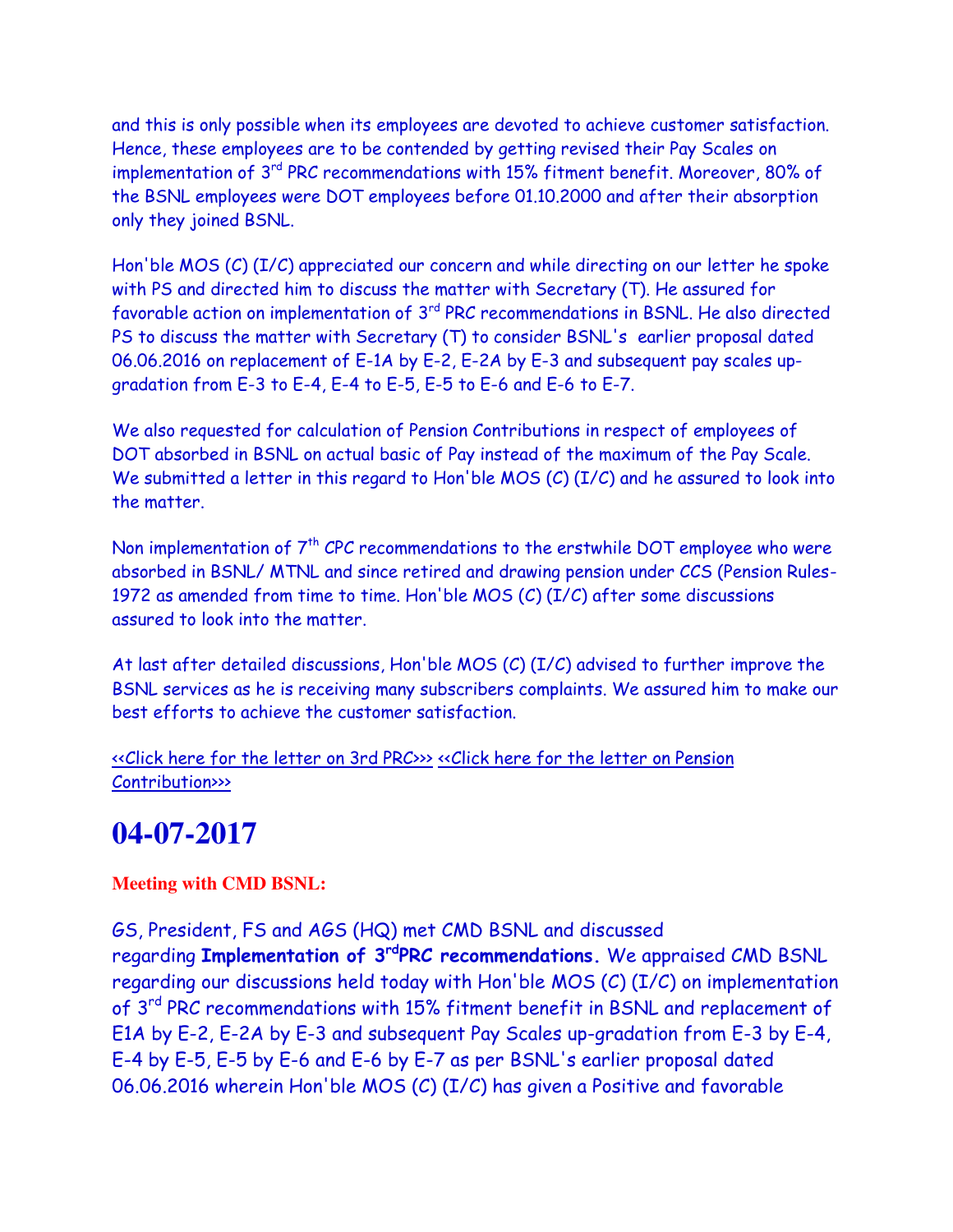and this is only possible when its employees are devoted to achieve customer satisfaction. Hence, these employees are to be contended by getting revised their Pay Scales on implementation of 3<sup>rd</sup> PRC recommendations with 15% fitment benefit. Moreover, 80% of the BSNL employees were DOT employees before 01.10.2000 and after their absorption only they joined BSNL.

Hon'ble MOS (C) (I/C) appreciated our concern and while directing on our letter he spoke with PS and directed him to discuss the matter with Secretary (T). He assured for favorable action on implementation of 3rd PRC recommendations in BSNL. He also directed PS to discuss the matter with Secretary (T) to consider BSNL's earlier proposal dated 06.06.2016 on replacement of E-1A by E-2, E-2A by E-3 and subsequent pay scales upgradation from E-3 to E-4, E-4 to E-5, E-5 to E-6 and E-6 to E-7.

We also requested for calculation of Pension Contributions in respect of employees of DOT absorbed in BSNL on actual basic of Pay instead of the maximum of the Pay Scale. We submitted a letter in this regard to Hon'ble MOS (C) (I/C) and he assured to look into the matter.

Non implementation of  $7<sup>th</sup>$  CPC recommendations to the erstwhile DOT employee who were absorbed in BSNL/ MTNL and since retired and drawing pension under CCS (Pension Rules-1972 as amended from time to time. Hon'ble MOS (C) (I/C) after some discussions assured to look into the matter.

At last after detailed discussions, Hon'ble MOS (C) (I/C) advised to further improve the BSNL services as he is receiving many subscribers complaints. We assured him to make our best efforts to achieve the customer satisfaction.

[<<Click here for the letter on 3rd PRC>>>](http://www.aibsnleachq.in/Manoj%20Sinha_170705_PRC.PDF) [<<Click here for the letter on Pension](http://www.aibsnleachq.in/Manoj%20Sinha_170705_PC.PDF) [Contribution>>>](http://www.aibsnleachq.in/Manoj%20Sinha_170705_PC.PDF)

# **04-07-2017**

**Meeting with CMD BSNL:**

GS, President, FS and AGS (HQ) met CMD BSNL and discussed regarding **Implementation of 3rdPRC recommendations.** We appraised CMD BSNL regarding our discussions held today with Hon'ble MOS (C) (I/C) on implementation of 3<sup>rd</sup> PRC recommendations with 15% fitment benefit in BSNL and replacement of E1A by E-2, E-2A by E-3 and subsequent Pay Scales up-gradation from E-3 by E-4, E-4 by E-5, E-5 by E-6 and E-6 by E-7 as per BSNL's earlier proposal dated 06.06.2016 wherein Hon'ble MOS (C) (I/C) has given a Positive and favorable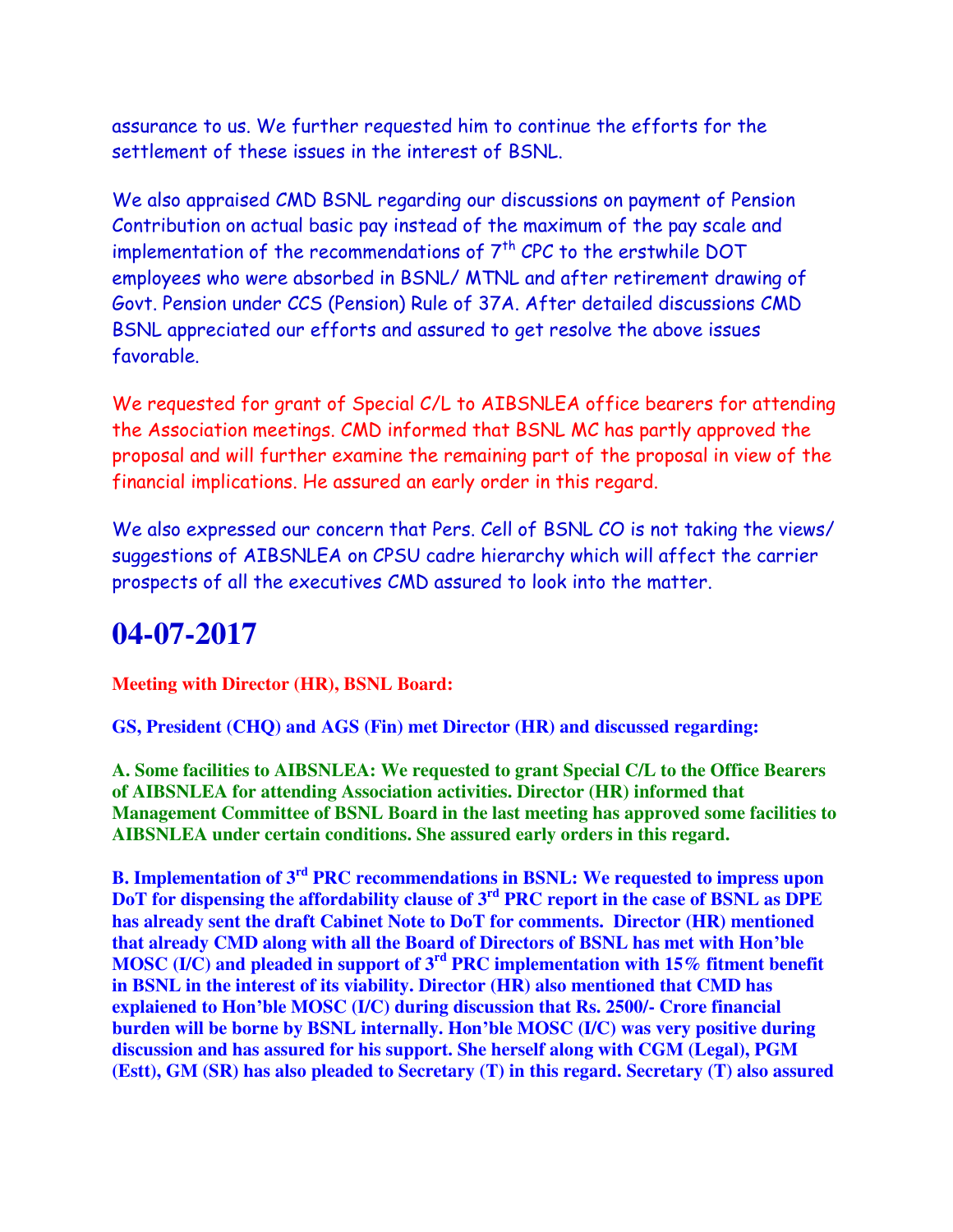assurance to us. We further requested him to continue the efforts for the settlement of these issues in the interest of BSNL.

We also appraised CMD BSNL regarding our discussions on payment of Pension Contribution on actual basic pay instead of the maximum of the pay scale and implementation of the recommendations of  $7<sup>th</sup>$  CPC to the erstwhile DOT employees who were absorbed in BSNL/ MTNL and after retirement drawing of Govt. Pension under CCS (Pension) Rule of 37A. After detailed discussions CMD BSNL appreciated our efforts and assured to get resolve the above issues favorable.

We requested for grant of Special C/L to AIBSNLEA office bearers for attending the Association meetings. CMD informed that BSNL MC has partly approved the proposal and will further examine the remaining part of the proposal in view of the financial implications. He assured an early order in this regard.

We also expressed our concern that Pers. Cell of BSNL CO is not taking the views/ suggestions of AIBSNLEA on CPSU cadre hierarchy which will affect the carrier prospects of all the executives CMD assured to look into the matter.

# **04-07-2017**

**Meeting with Director (HR), BSNL Board:**

**GS, President (CHQ) and AGS (Fin) met Director (HR) and discussed regarding:**

**A. Some facilities to AIBSNLEA: We requested to grant Special C/L to the Office Bearers of AIBSNLEA for attending Association activities. Director (HR) informed that Management Committee of BSNL Board in the last meeting has approved some facilities to AIBSNLEA under certain conditions. She assured early orders in this regard.**

**B. Implementation of 3rd PRC recommendations in BSNL: We requested to impress upon DoT for dispensing the affordability clause of 3rd PRC report in the case of BSNL as DPE has already sent the draft Cabinet Note to DoT for comments. Director (HR) mentioned that already CMD along with all the Board of Directors of BSNL has met with Hon'ble MOSC (I/C) and pleaded in support of 3rd PRC implementation with 15% fitment benefit in BSNL in the interest of its viability. Director (HR) also mentioned that CMD has explaiened to Hon'ble MOSC (I/C) during discussion that Rs. 2500/- Crore financial burden will be borne by BSNL internally. Hon'ble MOSC (I/C) was very positive during discussion and has assured for his support. She herself along with CGM (Legal), PGM (Estt), GM (SR) has also pleaded to Secretary (T) in this regard. Secretary (T) also assured**